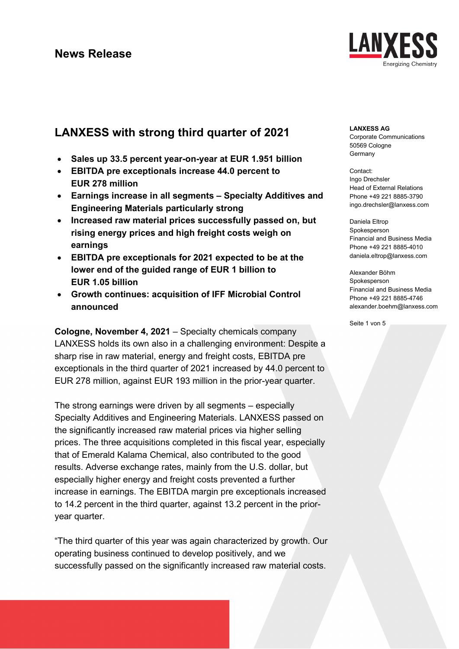

# **LANXESS with strong third quarter of 2021**

- **Sales up 33.5 percent year-on-year at EUR 1.951 billion**
- **EBITDA pre exceptionals increase 44.0 percent to EUR 278 million**
- **Earnings increase in all segments – Specialty Additives and Engineering Materials particularly strong**
- **Increased raw material prices successfully passed on, but rising energy prices and high freight costs weigh on earnings**
- **EBITDA pre exceptionals for 2021 expected to be at the lower end of the guided range of EUR 1 billion to EUR 1.05 billion**
- **Growth continues: acquisition of IFF Microbial Control announced**

**Cologne, November 4, 2021** – Specialty chemicals company LANXESS holds its own also in a challenging environment: Despite a sharp rise in raw material, energy and freight costs, EBITDA pre exceptionals in the third quarter of 2021 increased by 44.0 percent to EUR 278 million, against EUR 193 million in the prior-year quarter.

The strong earnings were driven by all segments – especially Specialty Additives and Engineering Materials. LANXESS passed on the significantly increased raw material prices via higher selling prices. The three acquisitions completed in this fiscal year, especially that of Emerald Kalama Chemical, also contributed to the good results. Adverse exchange rates, mainly from the U.S. dollar, but especially higher energy and freight costs prevented a further increase in earnings. The EBITDA margin pre exceptionals increased to 14.2 percent in the third quarter, against 13.2 percent in the prioryear quarter.

"The third quarter of this year was again characterized by growth. Our operating business continued to develop positively, and we successfully passed on the significantly increased raw material costs.

### **LANXESS AG**

Corporate Communications 50569 Cologne Germany

Contact: Ingo Drechsler Head of External Relations Phone +49 221 8885-3790 ingo.drechsler@lanxess.com

Daniela Eltrop Spokesperson Financial and Business Media Phone +49 221 8885-4010 daniela.eltrop@lanxess.com

Alexander Böhm Spokesperson Financial and Business Media Phone +49 221 8885-4746 alexander.boehm@lanxess.com

Seite 1 von 5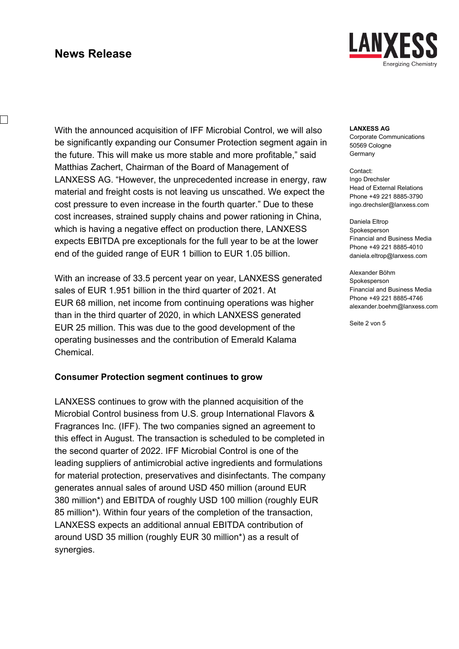$\overline{\phantom{a}}$ 



With the announced acquisition of IFF Microbial Control, we will also be significantly expanding our Consumer Protection segment again in the future. This will make us more stable and more profitable," said Matthias Zachert, Chairman of the Board of Management of LANXESS AG. "However, the unprecedented increase in energy, raw material and freight costs is not leaving us unscathed. We expect the cost pressure to even increase in the fourth quarter." Due to these cost increases, strained supply chains and power rationing in China, which is having a negative effect on production there, LANXESS expects EBITDA pre exceptionals for the full year to be at the lower end of the guided range of EUR 1 billion to EUR 1.05 billion.

With an increase of 33.5 percent year on year, LANXESS generated sales of EUR 1.951 billion in the third quarter of 2021. At EUR 68 million, net income from continuing operations was higher than in the third quarter of 2020, in which LANXESS generated EUR 25 million. This was due to the good development of the operating businesses and the contribution of Emerald Kalama Chemical.

### **Consumer Protection segment continues to grow**

LANXESS continues to grow with the planned acquisition of the Microbial Control business from U.S. group International Flavors & Fragrances Inc. (IFF). The two companies signed an agreement to this effect in August. The transaction is scheduled to be completed in the second quarter of 2022. IFF Microbial Control is one of the leading suppliers of antimicrobial active ingredients and formulations for material protection, preservatives and disinfectants. The company generates annual sales of around USD 450 million (around EUR 380 million\*) and EBITDA of roughly USD 100 million (roughly EUR 85 million\*). Within four years of the completion of the transaction, LANXESS expects an additional annual EBITDA contribution of around USD 35 million (roughly EUR 30 million\*) as a result of synergies.

### **LANXESS AG**

Corporate Communications 50569 Cologne Germany

Contact: Ingo Drechsler Head of External Relations Phone +49 221 8885-3790 ingo.drechsler@lanxess.com

Daniela Eltrop Spokesperson Financial and Business Media Phone +49 221 8885-4010 daniela.eltrop@lanxess.com

Alexander Böhm Spokesperson Financial and Business Media Phone +49 221 8885-4746 alexander.boehm@lanxess.com

Seite 2 von 5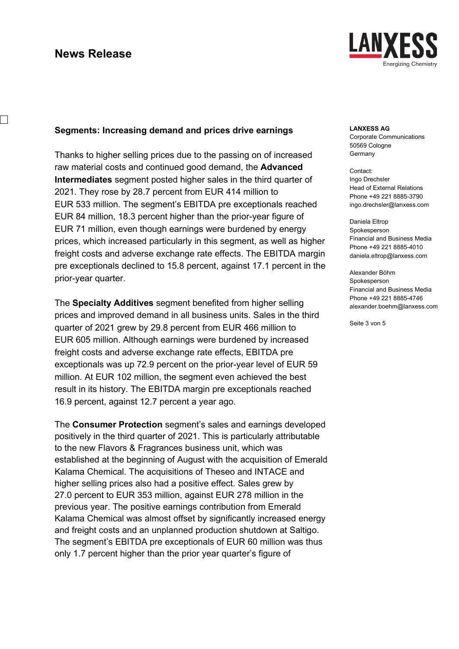$\overline{\phantom{a}}$ 



### **Segments: Increasing demand and prices drive earnings**

Thanks to higher selling prices due to the passing on of increased raw material costs and continued good demand, the **Advanced Intermediates** segment posted higher sales in the third quarter of 2021. They rose by 28.7 percent from EUR 414 million to EUR 533 million. The segment's EBITDA pre exceptionals reached EUR 84 million, 18.3 percent higher than the prior-year figure of EUR 71 million, even though earnings were burdened by energy prices, which increased particularly in this segment, as well as higher freight costs and adverse exchange rate effects. The EBITDA margin pre exceptionals declined to 15.8 percent, against 17.1 percent in the prior-year quarter.

The **Specialty Additives** segment benefited from higher selling prices and improved demand in all business units. Sales in the third quarter of 2021 grew by 29.8 percent from EUR 466 million to EUR 605 million. Although earnings were burdened by increased freight costs and adverse exchange rate effects, EBITDA pre exceptionals was up 72.9 percent on the prior-year level of EUR 59 million. At EUR 102 million, the segment even achieved the best result in its history. The EBITDA margin pre exceptionals reached 16.9 percent, against 12.7 percent a year ago.

The **Consumer Protection** segment's sales and earnings developed positively in the third quarter of 2021. This is particularly attributable to the new Flavors & Fragrances business unit, which was established at the beginning of August with the acquisition of Emerald Kalama Chemical. The acquisitions of Theseo and INTACE and higher selling prices also had a positive effect. Sales grew by 27.0 percent to EUR 353 million, against EUR 278 million in the previous year. The positive earnings contribution from Emerald Kalama Chemical was almost offset by significantly increased energy and freight costs and an unplanned production shutdown at Saltigo. The segment's EBITDA pre exceptionals of EUR 60 million was thus only 1.7 percent higher than the prior year quarter's figure of

### **LANXESS AG**

Corporate Communications 50569 Cologne Germany

Contact: Ingo Drechsler Head of External Relations Phone +49 221 8885-3790 ingo.drechsler@lanxess.com

Daniela Eltrop Spokesperson Financial and Business Media Phone +49 221 8885-4010 daniela.eltrop@lanxess.com

Alexander Böhm Spokesperson Financial and Business Media Phone +49 221 8885-4746 alexander.boehm@lanxess.com

Seite 3 von 5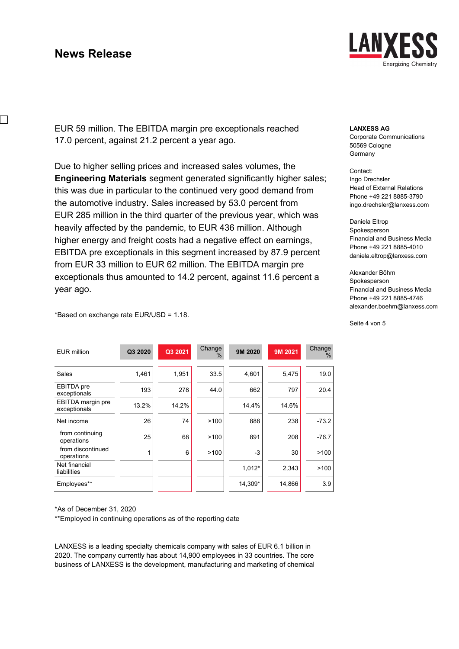$\overline{\phantom{a}}$ 



EUR 59 million. The EBITDA margin pre exceptionals reached 17.0 percent, against 21.2 percent a year ago.

Due to higher selling prices and increased sales volumes, the **Engineering Materials** segment generated significantly higher sales; this was due in particular to the continued very good demand from the automotive industry. Sales increased by 53.0 percent from EUR 285 million in the third quarter of the previous year, which was heavily affected by the pandemic, to EUR 436 million. Although higher energy and freight costs had a negative effect on earnings, EBITDA pre exceptionals in this segment increased by 87.9 percent from EUR 33 million to EUR 62 million. The EBITDA margin pre exceptionals thus amounted to 14.2 percent, against 11.6 percent a year ago.

#### **LANXESS AG**

Corporate Communications 50569 Cologne Germany

#### Contact: Ingo Drechsler Head of External Relations Phone +49 221 8885-3790 ingo.drechsler@lanxess.com

Daniela Eltrop Spokesperson Financial and Business Media Phone +49 221 8885-4010 daniela.eltrop@lanxess.com

Alexander Böhm Spokesperson Financial and Business Media Phone +49 221 8885-4746 alexander.boehm@lanxess.com

Seite 4 von 5

\*Based on exchange rate EUR/USD = 1.18.

| <b>EUR million</b>                | Q3 2020 | Q3 2021 | Change<br>$\%$ | 9M 2020 | 9M 2021 | Change<br>$\%$ |
|-----------------------------------|---------|---------|----------------|---------|---------|----------------|
|                                   |         |         |                |         |         |                |
| Sales                             | 1,461   | 1,951   | 33.5           | 4,601   | 5,475   | 19.0           |
| <b>EBITDA</b> pre<br>exceptionals | 193     | 278     | 44.0           | 662     | 797     | 20.4           |
| EBITDA margin pre<br>exceptionals | 13.2%   | 14.2%   |                | 14.4%   | 14.6%   |                |
| Net income                        | 26      | 74      | >100           | 888     | 238     | $-73.2$        |
| from continuing<br>operations     | 25      | 68      | >100           | 891     | 208     | $-76.7$        |
| from discontinued<br>operations   | 1       | 6       | >100           | $-3$    | 30      | >100           |
| Net financial<br>liabilities      |         |         |                | 1,012*  | 2,343   | >100           |
| Employees**                       |         |         |                | 14,309* | 14,866  | 3.9            |

\*As of December 31, 2020

\*\*Employed in continuing operations as of the reporting date

LANXESS is a leading specialty chemicals company with sales of EUR 6.1 billion in 2020. The company currently has about 14,900 employees in 33 countries. The core business of LANXESS is the development, manufacturing and marketing of chemical